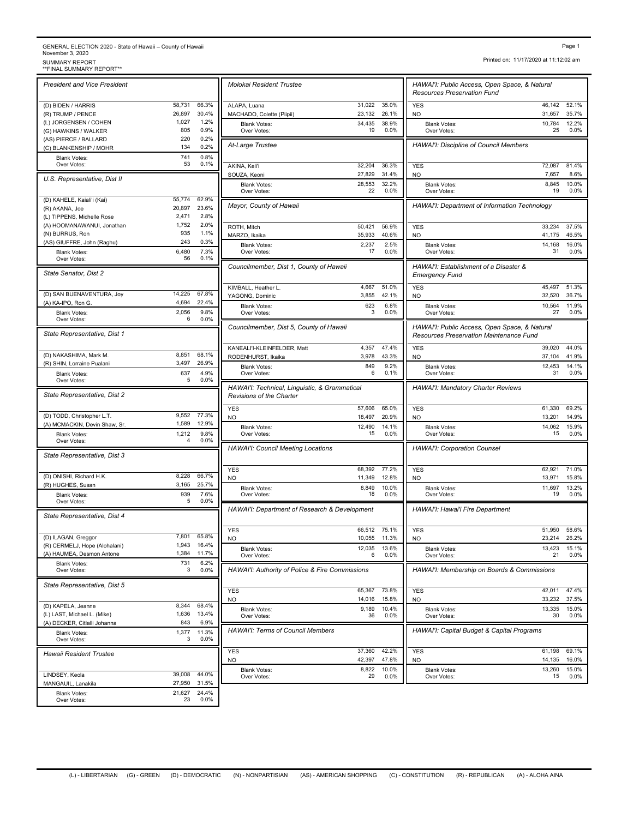## GENERAL ELECTION 2020 - State of Hawaii – County of Hawaii November 3, 2020<br>SUMMARY REPORT<br>\*\*FINAL SUMMARY REPORT\*\* Page 1<br>November 3, 2020<br>SUMMARY REPORT<br>\*\*FINAL SUMMARY REPORT\*\*<br>\*\*FINAL SUMMARY REPORT\*\*

*President and Vice President*

(D) BIDEN / HARRIS 58,731 66.3% (R) TRUMP / PENCE 26,897 30.4% (L) JORGENSEN / COHEN 1,027 1.2%<br>
(G) HAWKINS / WALKER 805 0.9% (G) HAWKINS / WALKER 805 0.9%<br>(AS) PIERCE / BALLARD 220 0.2% (AS) PIERCE / BALLARD 220 0.2%<br>
(C) BLANKENSHIP / MOHR 134 0.2% (C) BLANKENSHIP / MOHR Blank Votes: 741<br>Over Votes: 753 Over Votes:  $53 \t 0.1\%$   $\overline{A}$   $\overline{A}$   $\overline{A}$   $\overline{A}$   $\overline{A}$   $\overline{B}$   $\overline{A}$   $\overline{B}$   $\overline{B}$   $\overline{B}$   $\overline{C}$   $\overline{A}$   $\overline{B}$   $\overline{B}$   $\overline{C}$   $\overline{A}$   $\overline{B}$   $\overline{B}$   $\overline{C}$   $\overline{A}$   $\overline{B}$   $\overline{C}$  $0.8\%$ <br> $0.1\%$ *U.S. Representative, Dist II* (D) KAHELE, Kaiali'i (Kai) 55,774 62.9% (R) AKANA, Joe 20,897 23.6% (L) TIPPENS, Michelle Rose (A) HOOMANAWANUI, Jonathan 1,752 2.0% (N) BURRUS, Ron 935 1.1% (AS) GIUFFRE, John (Raghu) 243 0.3% Blank Votes: 6,480 7.3%<br>Civer Votes: 56 0.1% Over Votes: 7.3% *State Senator, Dist 2* (D) SAN BUENAVENTURA, Joy 14,225 67.8%<br>
(A) KA-IPO, Ron G. 4,694 22.4% (A) KA-IPO, Ron G. Blank Votes: 2,056 Over Votes: 6 0.0% *State Representative, Dist 1* (D) NAKASHIMA, Mark M. 8,851 68.1%<br>
(R) SHIN, Lorraine Pualani 3,497 26.9% (R) SHIN, Lorraine Pualani Blank Votes: 637 4.9%<br>Over Votes: 637 6.0% Over Votes: 5 0.0% *State Representative, Dist 2* (D) TODD, Christopher L.T. 9,552 77.3% (A) MCMACKIN, Devin Shaw, Sr. 1,589 12.9% Blank Votes: 1,212<br>Over Votes: 4 Over Votes:  $\begin{array}{ccc} 4 & 0.0\% \end{array}$  $9.8\%$ <br> $0.0\%$ *State Representative, Dist 3* (D) ONISHI, Richard H.K. 8,228 66.7% (R) HUGHES, Susan 3,165 25.7% Blank Votes: 939 Over Votes: 5 0.0% 7.6% *State Representative, Dist 4* (D) ILAGAN, Greggor 7,801 65.8%<br>
(R) CERMELJ, Hope (Alohalani) 1,943 16.4% (R) CERMELJ, Hope (Alohalani) 1,943 16.4%<br>(A) HAUMEA, Desmon Antone 1,384 11.7% (A) HAUMEA, Desmon Antone Blank Votes: 731 Over Votes: 3 0.0%  $6.2\%$ <br> $0.0\%$ *State Representative, Dist 5* (D) KAPELA, Jeanne 8,344 68.4%<br>
(L) LAST, Michael L. (Mike) 1,636 13.4% (L) LAST, Michael L. (Mike) 1,636 13.4%<br>(A) DECKER. Citlalli Johanna 1,636 13.9% (A) DECKER, Citlalli Johanna 843 Blank Votes: 1,377 11.3%<br>Over Votes: 3 0.0% Over Votes:  $\begin{array}{ccc} 3 & 0.0\% \end{array}$  11.3% *Hawaii Resident Trustee* LINDSEY, Keola 39,008 44.0% MANGAUIL, Lanakila 27,950 31.5% Blank Votes: 21,627 24.4%<br>Over Votes: 23 0.0% 24.4%

Over Votes: 23 0.0%

|                                                                           |                  |                | HAWAI'I: Public Access, Open Space, & Natural<br><b>Resources Preservation Fund</b>      |                  |                |
|---------------------------------------------------------------------------|------------------|----------------|------------------------------------------------------------------------------------------|------------------|----------------|
| ALAPA, Luana                                                              | 31,022           | 35.0%          | <b>YES</b>                                                                               | 46,142           | 52.1%          |
| MACHADO, Colette (Piipii)                                                 | 23,132           | 26.1%          | NO.                                                                                      | 31,657           | 35.7%          |
| <b>Blank Votes:</b><br>Over Votes:                                        | 34,435<br>19     | 38.9%<br>0.0%  | <b>Blank Votes:</b><br>Over Votes:                                                       | 10,784<br>25     | 12.2%<br>0.0%  |
| At-Large Trustee                                                          |                  |                | <b>HAWAI'I: Discipline of Council Members</b>                                            |                  |                |
| AKINA, Keli'i                                                             | 32,204<br>27,829 | 36.3%<br>31.4% | <b>YES</b>                                                                               | 72,087<br>7,657  | 81.4%<br>8.6%  |
| SOUZA, Keoni<br><b>Blank Votes:</b>                                       | 28,553           | 32.2%          | <b>NO</b><br><b>Blank Votes:</b>                                                         | 8,845            | 10.0%          |
| Over Votes:<br>Mayor, County of Hawaii                                    | 22               | 0.0%           | Over Votes:<br>HAWAI'I: Department of Information Technology                             | 19               | 0.0%           |
|                                                                           |                  |                |                                                                                          |                  |                |
| ROTH, Mitch<br>MARZO, Ikaika                                              | 50,421<br>35,933 | 56.9%<br>40.6% | <b>YES</b><br><b>NO</b>                                                                  | 33,234<br>41,175 | 37.5%<br>46.5% |
| <b>Blank Votes:</b>                                                       | 2,237            | 2.5%           | <b>Blank Votes:</b>                                                                      | 14,168           | 16.0%          |
| Over Votes:                                                               | 17               | 0.0%           | Over Votes:                                                                              | 31               | 0.0%           |
| Councilmember, Dist 1, County of Hawaii                                   |                  |                | HAWAI'I: Establishment of a Disaster &<br><b>Emergency Fund</b>                          |                  |                |
| KIMBALL, Heather L.<br>YAGONG, Dominic                                    | 4,667<br>3,855   | 51.0%<br>42.1% | <b>YES</b><br>N <sub>O</sub>                                                             | 45,497<br>32,520 | 51.3%<br>36.7% |
| <b>Blank Votes:</b>                                                       | 623              | 6.8%           | <b>Blank Votes:</b>                                                                      | 10,564           | 11.9%          |
| Over Votes:                                                               | 3                | 0.0%           | Over Votes:                                                                              | 27               | 0.0%           |
| Councilmember, Dist 5, County of Hawaii                                   |                  |                | HAWAI'I: Public Access, Open Space, & Natural<br>Resources Preservation Maintenance Fund |                  |                |
| KANEALI'I-KLEINFELDER, Matt                                               | 4,357            | 47.4%          | <b>YES</b>                                                                               | 39,020           | 44.0%          |
| RODENHURST, Ikaika<br><b>Blank Votes:</b>                                 | 3,978<br>849     | 43.3%<br>9.2%  | <b>NO</b><br><b>Blank Votes:</b>                                                         | 37,104<br>12,453 | 41.9%<br>14.1% |
| Over Votes:                                                               | 6                | 0.1%           | Over Votes:                                                                              | 31               | 0.0%           |
| HAWAI'I: Technical, Linguistic, & Grammatical<br>Revisions of the Charter |                  |                | HAWAI'I: Mandatory Charter Reviews                                                       |                  |                |
| <b>YES</b><br><b>NO</b>                                                   | 57,606<br>18,497 | 65.0%<br>20.9% | <b>YES</b><br>NO                                                                         | 61,330<br>13,201 | 69.2%<br>14.9% |
| <b>Blank Votes:</b>                                                       | 12,490           | 14.1%          | <b>Blank Votes:</b>                                                                      | 14,062           | 15.9%          |
| Over Votes:                                                               | 15               | 0.0%           | Over Votes:                                                                              | 15               | 0.0%           |
| <b>HAWAI'I: Council Meeting Locations</b>                                 |                  |                | <b>HAWAI'I: Corporation Counsel</b>                                                      |                  |                |
| <b>YES</b>                                                                | 68,392<br>11,349 | 77.2%<br>12.8% | <b>YES</b>                                                                               | 62,921<br>13,971 | 71.0%<br>15.8% |
| <b>NO</b><br><b>Blank Votes:</b>                                          | 8,849            | 10.0%          | NO<br><b>Blank Votes:</b>                                                                | 11,697           | 13.2%          |
| Over Votes:                                                               | 18               | 0.0%           | Over Votes:                                                                              | 19               | 0.0%           |
| HAWAI'I: Department of Research & Development                             |                  |                | HAWAI'I: Hawai'i Fire Department                                                         |                  |                |
| <b>YES</b><br>NO.                                                         | 66,512<br>10,055 | 75.1%<br>11.3% | <b>YES</b><br>NO.                                                                        | 51,950<br>23,214 | 58.6%<br>26.2% |
| <b>Blank Votes:</b><br>Over Votes:                                        | 12,035<br>6      | 13.6%<br>0.0%  | <b>Blank Votes:</b><br>Over Votes:                                                       | 13,423<br>21     | 15.1%<br>0.0%  |
| HAWAI'I: Authority of Police & Fire Commissions                           |                  |                | HAWAI'I: Membership on Boards & Commissions                                              |                  |                |
| <b>YES</b>                                                                | 65,367           | 73.8%          | <b>YES</b>                                                                               | 42,011           | 47.4%          |
|                                                                           | 14,016           | 15.8%          | NO                                                                                       | 33,232           | 37.5%          |
| NO.                                                                       | 9,189            | 10.4%<br>0.0%  | <b>Blank Votes:</b><br>Over Votes:                                                       | 13,335<br>30     | 15.0%<br>0.0%  |
| <b>Blank Votes:</b><br>Over Votes:                                        | 36               |                |                                                                                          |                  |                |
| <b>HAWAI'I: Terms of Council Members</b>                                  |                  |                | HAWAI'I: Capital Budget & Capital Programs                                               |                  |                |
| <b>YES</b>                                                                | 37,360           | 42.2%          | <b>YES</b>                                                                               | 61,198           | 69.1%          |
| NO.<br><b>Blank Votes:</b>                                                | 42,397<br>8,822  | 47.8%<br>10.0% | NO<br><b>Blank Votes:</b>                                                                | 14,135<br>13,260 | 16.0%<br>15.0% |

Printed on: 11/17/2020 at 11:12:02 am